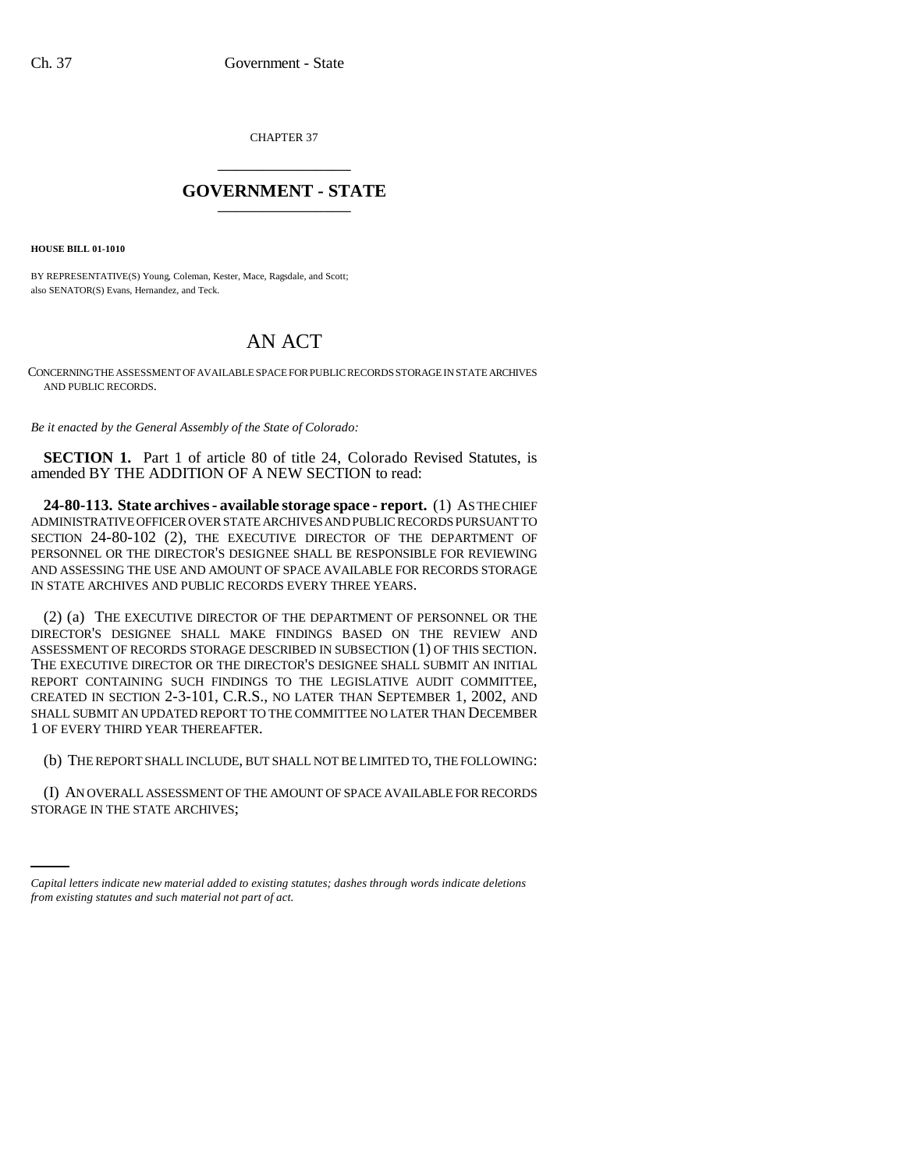CHAPTER 37 \_\_\_\_\_\_\_\_\_\_\_\_\_\_\_

## **GOVERNMENT - STATE** \_\_\_\_\_\_\_\_\_\_\_\_\_\_\_

**HOUSE BILL 01-1010**

BY REPRESENTATIVE(S) Young, Coleman, Kester, Mace, Ragsdale, and Scott; also SENATOR(S) Evans, Hernandez, and Teck.

## AN ACT

CONCERNING THE ASSESSMENT OF AVAILABLE SPACE FOR PUBLIC RECORDS STORAGE IN STATE ARCHIVES AND PUBLIC RECORDS.

*Be it enacted by the General Assembly of the State of Colorado:*

**SECTION 1.** Part 1 of article 80 of title 24, Colorado Revised Statutes, is amended BY THE ADDITION OF A NEW SECTION to read:

**24-80-113. State archives - available storage space - report.** (1) AS THE CHIEF ADMINISTRATIVE OFFICER OVER STATE ARCHIVES AND PUBLIC RECORDS PURSUANT TO SECTION 24-80-102 (2), THE EXECUTIVE DIRECTOR OF THE DEPARTMENT OF PERSONNEL OR THE DIRECTOR'S DESIGNEE SHALL BE RESPONSIBLE FOR REVIEWING AND ASSESSING THE USE AND AMOUNT OF SPACE AVAILABLE FOR RECORDS STORAGE IN STATE ARCHIVES AND PUBLIC RECORDS EVERY THREE YEARS.

(2) (a) THE EXECUTIVE DIRECTOR OF THE DEPARTMENT OF PERSONNEL OR THE DIRECTOR'S DESIGNEE SHALL MAKE FINDINGS BASED ON THE REVIEW AND ASSESSMENT OF RECORDS STORAGE DESCRIBED IN SUBSECTION (1) OF THIS SECTION. THE EXECUTIVE DIRECTOR OR THE DIRECTOR'S DESIGNEE SHALL SUBMIT AN INITIAL REPORT CONTAINING SUCH FINDINGS TO THE LEGISLATIVE AUDIT COMMITTEE, CREATED IN SECTION 2-3-101, C.R.S., NO LATER THAN SEPTEMBER 1, 2002, AND SHALL SUBMIT AN UPDATED REPORT TO THE COMMITTEE NO LATER THAN DECEMBER 1 OF EVERY THIRD YEAR THEREAFTER.

(b) THE REPORT SHALL INCLUDE, BUT SHALL NOT BE LIMITED TO, THE FOLLOWING:

(I) AN OVERALL ASSESSMENT OF THE AMOUNT OF SPACE AVAILABLE FOR RECORDS STORAGE IN THE STATE ARCHIVES;

*Capital letters indicate new material added to existing statutes; dashes through words indicate deletions from existing statutes and such material not part of act.*